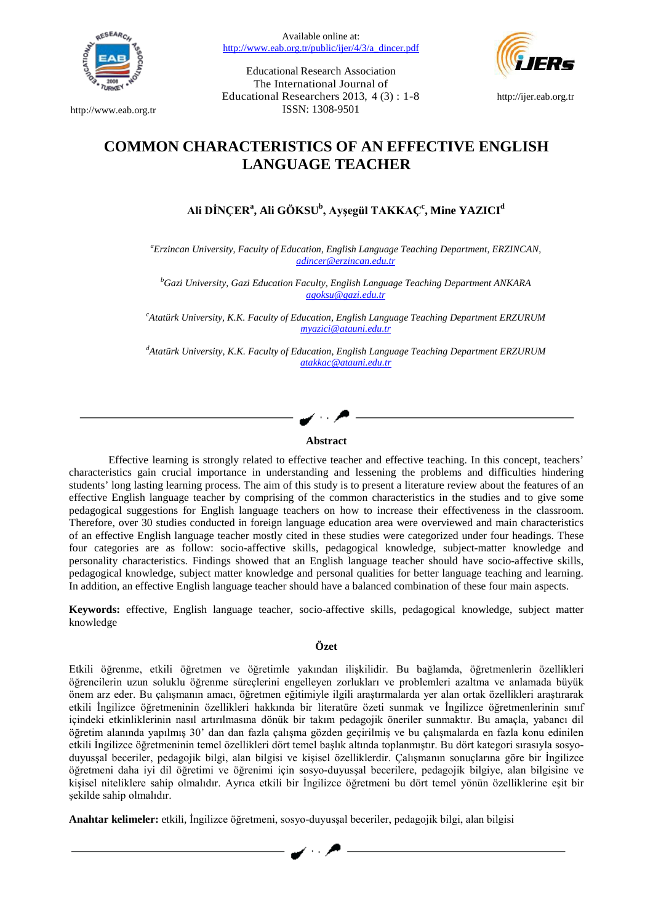

[http://www.eab.org.tr](http://www.eab.org.tr/)

Available online at: [http://www.eab.org.tr/public/ijer/4/3/a\\_dincer.pdf](http://www.eab.org.tr/public/ijer/4/3/a_dincer.pdf)

Educational Research Association The International Journal of Educational Researchers 2013, 4 (3) : 1-8 ISSN: 1308-9501



[http://ijer.eab.org.tr](http://ijer.eab.org.tr/)

# **COMMON CHARACTERISTICS OF AN EFFECTIVE ENGLISH LANGUAGE TEACHER**

# $\mathbf{A}$ li DİNÇER $^{\mathsf{a}}$ , Ali GÖKSU $^{\mathsf{b}}$ , Ayşegül TAKKAÇ $^{\mathsf{c}}$ , Mine YAZICI $^{\mathsf{d}}$

*a Erzincan University, Faculty of Education, English Language Teaching Department, ERZINCAN, [adincer@erzincan.edu.tr](mailto:adincer@erzincan.edu.tr)*

*b Gazi University, Gazi Education Faculty, English Language Teaching Department ANKARA [agoksu@gazi.edu.tr](mailto:agoksu@gazi.edu.tr)*

*c Atatürk University, K.K. Faculty of Education, English Language Teaching Department ERZURUM [myazici@atauni.edu.tr](mailto:myazici@atauni.edu.tr)*

*d Atatürk University, K.K. Faculty of Education, English Language Teaching Department ERZURUM [atakkac@atauni.edu.tr](mailto:atakkac@atauni.edu.tr)*

## **Abstract**

Effective learning is strongly related to effective teacher and effective teaching. In this concept, teachers' characteristics gain crucial importance in understanding and lessening the problems and difficulties hindering students' long lasting learning process. The aim of this study is to present a literature review about the features of an effective English language teacher by comprising of the common characteristics in the studies and to give some pedagogical suggestions for English language teachers on how to increase their effectiveness in the classroom. Therefore, over 30 studies conducted in foreign language education area were overviewed and main characteristics of an effective English language teacher mostly cited in these studies were categorized under four headings. These four categories are as follow: socio-affective skills, pedagogical knowledge, subject-matter knowledge and personality characteristics. Findings showed that an English language teacher should have socio-affective skills, pedagogical knowledge, subject matter knowledge and personal qualities for better language teaching and learning. In addition, an effective English language teacher should have a balanced combination of these four main aspects.

**Keywords:** effective, English language teacher, socio-affective skills, pedagogical knowledge, subject matter knowledge

### **Özet**

Etkili öğrenme, etkili öğretmen ve öğretimle yakından ilişkilidir. Bu bağlamda, öğretmenlerin özellikleri öğrencilerin uzun soluklu öğrenme süreçlerini engelleyen zorlukları ve problemleri azaltma ve anlamada büyük önem arz eder. Bu çalışmanın amacı, öğretmen eğitimiyle ilgili araştırmalarda yer alan ortak özellikleri araştırarak etkili İngilizce öğretmeninin özellikleri hakkında bir literatüre özeti sunmak ve İngilizce öğretmenlerinin sınıf içindeki etkinliklerinin nasıl artırılmasına dönük bir takım pedagojik öneriler sunmaktır. Bu amaçla, yabancı dil öğretim alanında yapılmış 30' dan dan fazla çalışma gözden geçirilmiş ve bu çalışmalarda en fazla konu edinilen etkili İngilizce öğretmeninin temel özellikleri dört temel başlık altında toplanmıştır. Bu dört kategori sırasıyla sosyoduyusşal beceriler, pedagojik bilgi, alan bilgisi ve kişisel özelliklerdir. Çalışmanın sonuçlarına göre bir İngilizce öğretmeni daha iyi dil öğretimi ve öğrenimi için sosyo-duyusşal becerilere, pedagojik bilgiye, alan bilgisine ve kişisel niteliklere sahip olmalıdır. Ayrıca etkili bir İngilizce öğretmeni bu dört temel yönün özelliklerine eşit bir şekilde sahip olmalıdır.

**Anahtar kelimeler:** etkili, İngilizce öğretmeni, sosyo-duyusşal beceriler, pedagojik bilgi, alan bilgisi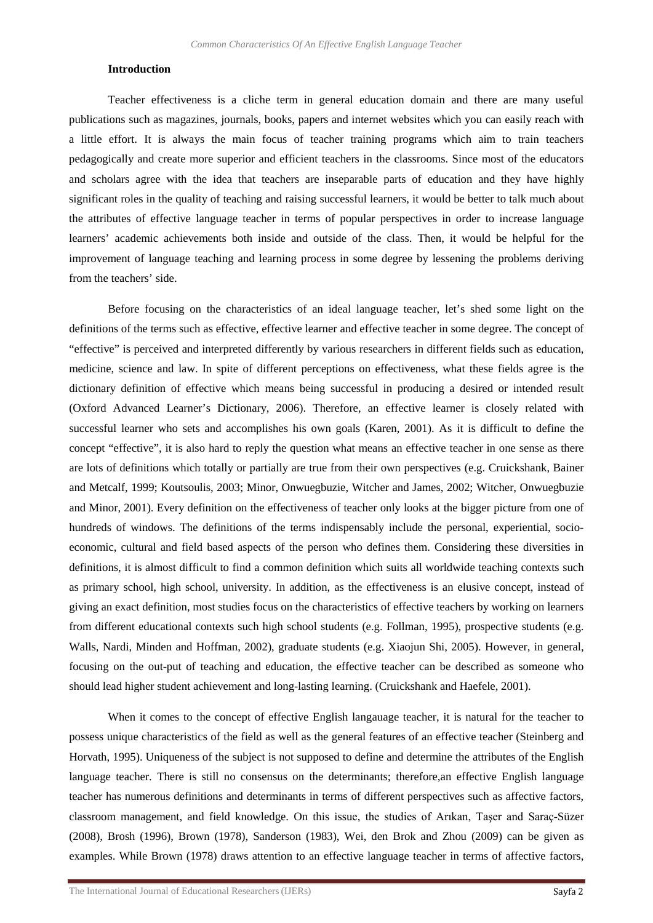### **Introduction**

Teacher effectiveness is a cliche term in general education domain and there are many useful publications such as magazines, journals, books, papers and internet websites which you can easily reach with a little effort. It is always the main focus of teacher training programs which aim to train teachers pedagogically and create more superior and efficient teachers in the classrooms. Since most of the educators and scholars agree with the idea that teachers are inseparable parts of education and they have highly significant roles in the quality of teaching and raising successful learners, it would be better to talk much about the attributes of effective language teacher in terms of popular perspectives in order to increase language learners' academic achievements both inside and outside of the class. Then, it would be helpful for the improvement of language teaching and learning process in some degree by lessening the problems deriving from the teachers' side.

Before focusing on the characteristics of an ideal language teacher, let's shed some light on the definitions of the terms such as effective, effective learner and effective teacher in some degree. The concept of "effective" is perceived and interpreted differently by various researchers in different fields such as education, medicine, science and law. In spite of different perceptions on effectiveness, what these fields agree is the dictionary definition of effective which means being successful in producing a desired or intended result (Oxford Advanced Learner's Dictionary, 2006). Therefore, an effective learner is closely related with successful learner who sets and accomplishes his own goals (Karen, 2001). As it is difficult to define the concept "effective", it is also hard to reply the question what means an effective teacher in one sense as there are lots of definitions which totally or partially are true from their own perspectives (e.g. Cruickshank, Bainer and Metcalf, 1999; Koutsoulis, 2003; Minor, Onwuegbuzie, Witcher and James, 2002; Witcher, Onwuegbuzie and Minor, 2001). Every definition on the effectiveness of teacher only looks at the bigger picture from one of hundreds of windows. The definitions of the terms indispensably include the personal, experiential, socioeconomic, cultural and field based aspects of the person who defines them. Considering these diversities in definitions, it is almost difficult to find a common definition which suits all worldwide teaching contexts such as primary school, high school, university. In addition, as the effectiveness is an elusive concept, instead of giving an exact definition, most studies focus on the characteristics of effective teachers by working on learners from different educational contexts such high school students (e.g. Follman, 1995), prospective students (e.g. Walls, Nardi, Minden and Hoffman, 2002), graduate students (e.g. Xiaojun Shi, 2005). However, in general, focusing on the out-put of teaching and education, the effective teacher can be described as someone who should lead higher student achievement and long-lasting learning. (Cruickshank and Haefele, 2001).

When it comes to the concept of effective English langauage teacher, it is natural for the teacher to possess unique characteristics of the field as well as the general features of an effective teacher (Steinberg and Horvath, 1995). Uniqueness of the subject is not supposed to define and determine the attributes of the English language teacher. There is still no consensus on the determinants; therefore,an effective English language teacher has numerous definitions and determinants in terms of different perspectives such as affective factors, classroom management, and field knowledge. On this issue, the studies of Arıkan, Taşer and Saraç-Süzer (2008), Brosh (1996), Brown (1978), Sanderson (1983), Wei, den Brok and Zhou (2009) can be given as examples. While Brown (1978) draws attention to an effective language teacher in terms of affective factors,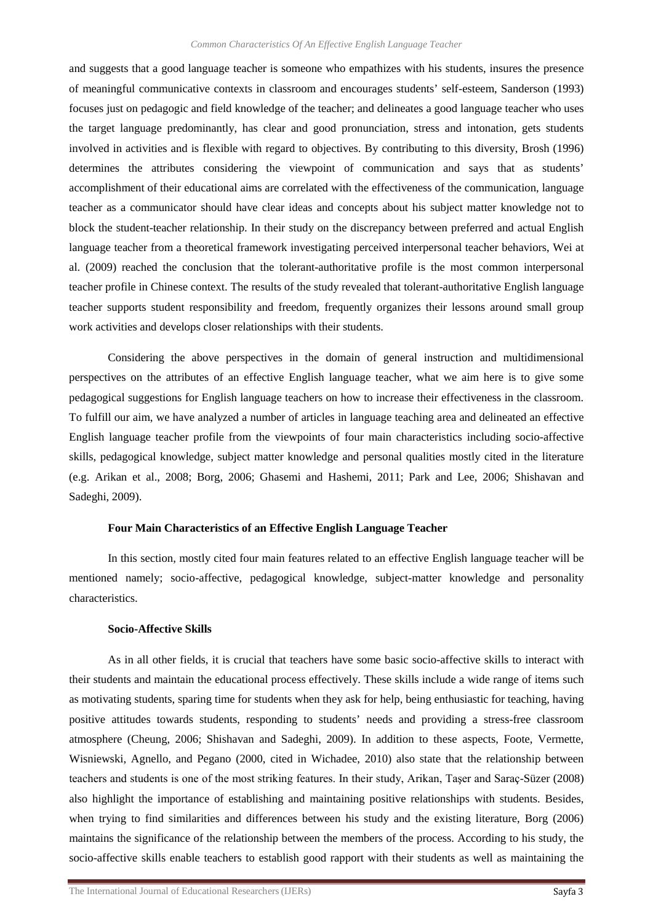and suggests that a good language teacher is someone who empathizes with his students, insures the presence of meaningful communicative contexts in classroom and encourages students' self-esteem, Sanderson (1993) focuses just on pedagogic and field knowledge of the teacher; and delineates a good language teacher who uses the target language predominantly, has clear and good pronunciation, stress and intonation, gets students involved in activities and is flexible with regard to objectives. By contributing to this diversity, Brosh (1996) determines the attributes considering the viewpoint of communication and says that as students' accomplishment of their educational aims are correlated with the effectiveness of the communication, language teacher as a communicator should have clear ideas and concepts about his subject matter knowledge not to block the student-teacher relationship. In their study on the discrepancy between preferred and actual English language teacher from a theoretical framework investigating perceived interpersonal teacher behaviors, Wei at al. (2009) reached the conclusion that the tolerant-authoritative profile is the most common interpersonal teacher profile in Chinese context. The results of the study revealed that tolerant-authoritative English language teacher supports student responsibility and freedom, frequently organizes their lessons around small group work activities and develops closer relationships with their students.

Considering the above perspectives in the domain of general instruction and multidimensional perspectives on the attributes of an effective English language teacher, what we aim here is to give some pedagogical suggestions for English language teachers on how to increase their effectiveness in the classroom. To fulfill our aim, we have analyzed a number of articles in language teaching area and delineated an effective English language teacher profile from the viewpoints of four main characteristics including socio-affective skills, pedagogical knowledge, subject matter knowledge and personal qualities mostly cited in the literature (e.g. Arikan et al., 2008; Borg, 2006; Ghasemi and Hashemi, 2011; Park and Lee, 2006; Shishavan and Sadeghi, 2009).

### **Four Main Characteristics of an Effective English Language Teacher**

In this section, mostly cited four main features related to an effective English language teacher will be mentioned namely; socio-affective, pedagogical knowledge, subject-matter knowledge and personality characteristics.

#### **Socio-Affective Skills**

As in all other fields, it is crucial that teachers have some basic socio-affective skills to interact with their students and maintain the educational process effectively. These skills include a wide range of items such as motivating students, sparing time for students when they ask for help, being enthusiastic for teaching, having positive attitudes towards students, responding to students' needs and providing a stress-free classroom atmosphere (Cheung, 2006; Shishavan and Sadeghi, 2009). In addition to these aspects, Foote, Vermette, Wisniewski, Agnello, and Pegano (2000, cited in Wichadee, 2010) also state that the relationship between teachers and students is one of the most striking features. In their study, Arikan, Taşer and Saraç-Süzer (2008) also highlight the importance of establishing and maintaining positive relationships with students. Besides, when trying to find similarities and differences between his study and the existing literature, Borg (2006) maintains the significance of the relationship between the members of the process. According to his study, the socio-affective skills enable teachers to establish good rapport with their students as well as maintaining the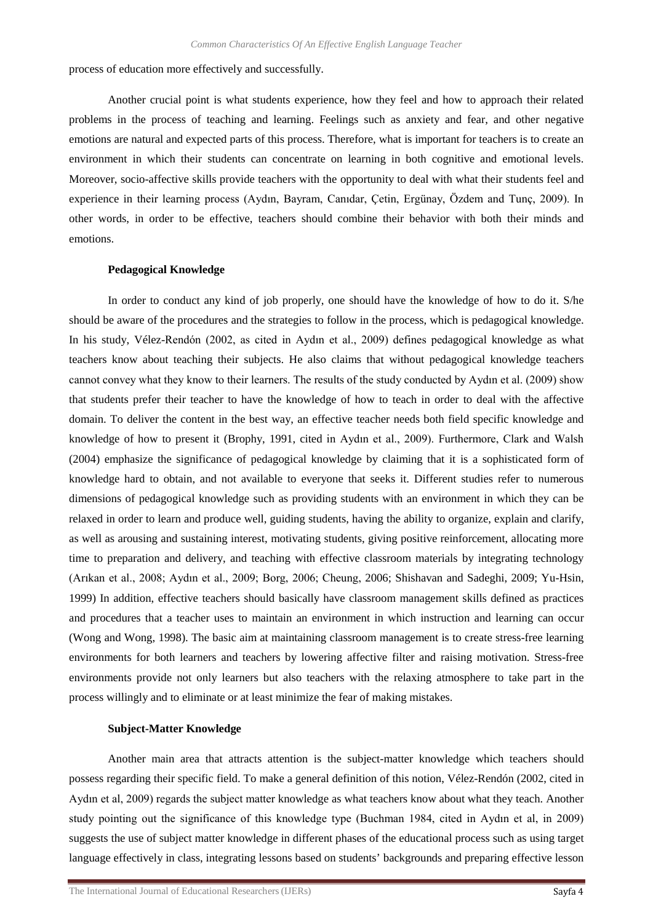process of education more effectively and successfully.

Another crucial point is what students experience, how they feel and how to approach their related problems in the process of teaching and learning. Feelings such as anxiety and fear, and other negative emotions are natural and expected parts of this process. Therefore, what is important for teachers is to create an environment in which their students can concentrate on learning in both cognitive and emotional levels. Moreover, socio-affective skills provide teachers with the opportunity to deal with what their students feel and experience in their learning process (Aydın, Bayram, Canıdar, Çetin, Ergünay, Özdem and Tunç, 2009). In other words, in order to be effective, teachers should combine their behavior with both their minds and emotions.

### **Pedagogical Knowledge**

In order to conduct any kind of job properly, one should have the knowledge of how to do it. S/he should be aware of the procedures and the strategies to follow in the process, which is pedagogical knowledge. In his study, Vélez-Rendón (2002, as cited in Aydın et al., 2009) defines pedagogical knowledge as what teachers know about teaching their subjects. He also claims that without pedagogical knowledge teachers cannot convey what they know to their learners. The results of the study conducted by Aydın et al. (2009) show that students prefer their teacher to have the knowledge of how to teach in order to deal with the affective domain. To deliver the content in the best way, an effective teacher needs both field specific knowledge and knowledge of how to present it (Brophy, 1991, cited in Aydın et al., 2009). Furthermore, Clark and Walsh (2004) emphasize the significance of pedagogical knowledge by claiming that it is a sophisticated form of knowledge hard to obtain, and not available to everyone that seeks it. Different studies refer to numerous dimensions of pedagogical knowledge such as providing students with an environment in which they can be relaxed in order to learn and produce well, guiding students, having the ability to organize, explain and clarify, as well as arousing and sustaining interest, motivating students, giving positive reinforcement, allocating more time to preparation and delivery, and teaching with effective classroom materials by integrating technology (Arıkan et al., 2008; Aydın et al., 2009; Borg, 2006; Cheung, 2006; Shishavan and Sadeghi, 2009; Yu-Hsin, 1999) In addition, effective teachers should basically have classroom management skills defined as practices and procedures that a teacher uses to maintain an environment in which instruction and learning can occur (Wong and Wong, 1998). The basic aim at maintaining classroom management is to create stress-free learning environments for both learners and teachers by lowering affective filter and raising motivation. Stress-free environments provide not only learners but also teachers with the relaxing atmosphere to take part in the process willingly and to eliminate or at least minimize the fear of making mistakes.

### **Subject-Matter Knowledge**

Another main area that attracts attention is the subject-matter knowledge which teachers should possess regarding their specific field. To make a general definition of this notion, Vélez-Rendón (2002, cited in Aydın et al, 2009) regards the subject matter knowledge as what teachers know about what they teach. Another study pointing out the significance of this knowledge type (Buchman 1984, cited in Aydın et al, in 2009) suggests the use of subject matter knowledge in different phases of the educational process such as using target language effectively in class, integrating lessons based on students' backgrounds and preparing effective lesson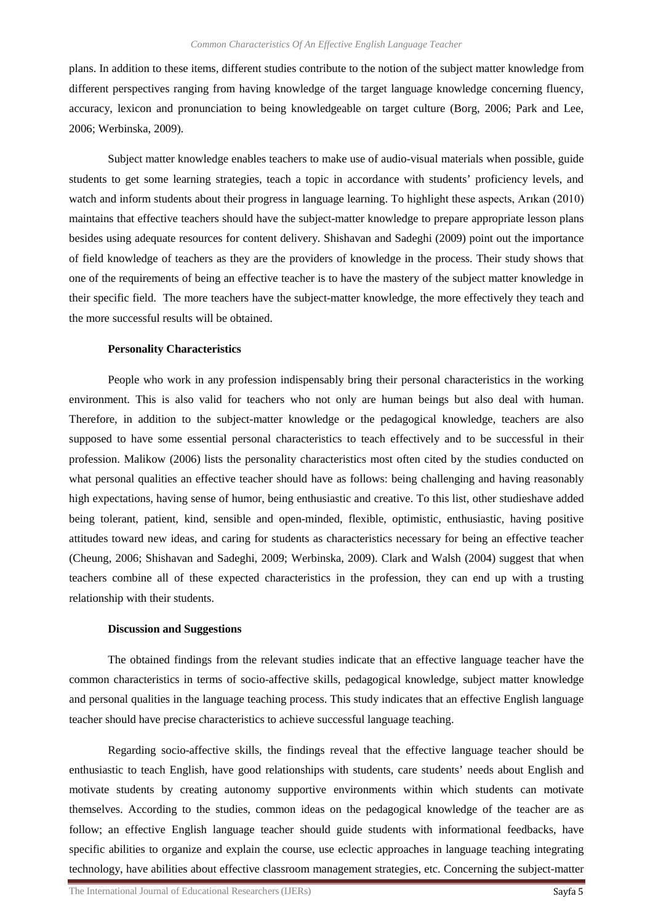plans. In addition to these items, different studies contribute to the notion of the subject matter knowledge from different perspectives ranging from having knowledge of the target language knowledge concerning fluency, accuracy, lexicon and pronunciation to being knowledgeable on target culture (Borg, 2006; Park and Lee, 2006; Werbinska, 2009).

Subject matter knowledge enables teachers to make use of audio-visual materials when possible, guide students to get some learning strategies, teach a topic in accordance with students' proficiency levels, and watch and inform students about their progress in language learning. To highlight these aspects, Arıkan (2010) maintains that effective teachers should have the subject-matter knowledge to prepare appropriate lesson plans besides using adequate resources for content delivery. Shishavan and Sadeghi (2009) point out the importance of field knowledge of teachers as they are the providers of knowledge in the process. Their study shows that one of the requirements of being an effective teacher is to have the mastery of the subject matter knowledge in their specific field. The more teachers have the subject-matter knowledge, the more effectively they teach and the more successful results will be obtained.

#### **Personality Characteristics**

People who work in any profession indispensably bring their personal characteristics in the working environment. This is also valid for teachers who not only are human beings but also deal with human. Therefore, in addition to the subject-matter knowledge or the pedagogical knowledge, teachers are also supposed to have some essential personal characteristics to teach effectively and to be successful in their profession. Malikow (2006) lists the personality characteristics most often cited by the studies conducted on what personal qualities an effective teacher should have as follows: being challenging and having reasonably high expectations, having sense of humor, being enthusiastic and creative. To this list, other studieshave added being tolerant, patient, kind, sensible and open-minded, flexible, optimistic, enthusiastic, having positive attitudes toward new ideas, and caring for students as characteristics necessary for being an effective teacher (Cheung, 2006; Shishavan and Sadeghi, 2009; Werbinska, 2009). Clark and Walsh (2004) suggest that when teachers combine all of these expected characteristics in the profession, they can end up with a trusting relationship with their students.

#### **Discussion and Suggestions**

The obtained findings from the relevant studies indicate that an effective language teacher have the common characteristics in terms of socio-affective skills, pedagogical knowledge, subject matter knowledge and personal qualities in the language teaching process. This study indicates that an effective English language teacher should have precise characteristics to achieve successful language teaching.

Regarding socio-affective skills, the findings reveal that the effective language teacher should be enthusiastic to teach English, have good relationships with students, care students' needs about English and motivate students by creating autonomy supportive environments within which students can motivate themselves. According to the studies, common ideas on the pedagogical knowledge of the teacher are as follow; an effective English language teacher should guide students with informational feedbacks, have specific abilities to organize and explain the course, use eclectic approaches in language teaching integrating technology, have abilities about effective classroom management strategies, etc. Concerning the subject-matter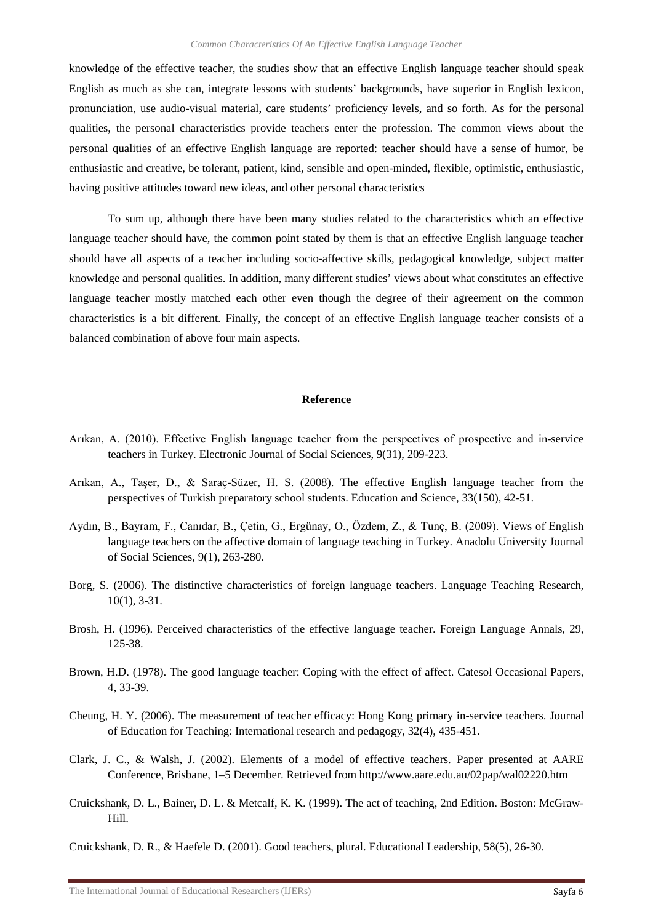knowledge of the effective teacher, the studies show that an effective English language teacher should speak English as much as she can, integrate lessons with students' backgrounds, have superior in English lexicon, pronunciation, use audio-visual material, care students' proficiency levels, and so forth. As for the personal qualities, the personal characteristics provide teachers enter the profession. The common views about the personal qualities of an effective English language are reported: teacher should have a sense of humor, be enthusiastic and creative, be tolerant, patient, kind, sensible and open-minded, flexible, optimistic, enthusiastic, having positive attitudes toward new ideas, and other personal characteristics

To sum up, although there have been many studies related to the characteristics which an effective language teacher should have, the common point stated by them is that an effective English language teacher should have all aspects of a teacher including socio-affective skills, pedagogical knowledge, subject matter knowledge and personal qualities. In addition, many different studies' views about what constitutes an effective language teacher mostly matched each other even though the degree of their agreement on the common characteristics is a bit different. Finally, the concept of an effective English language teacher consists of a balanced combination of above four main aspects.

#### **Reference**

- Arıkan, A. (2010). Effective English language teacher from the perspectives of prospective and in-service teachers in Turkey. Electronic Journal of Social Sciences, 9(31), 209-223.
- Arıkan, A., Taşer, D., & Saraç-Süzer, H. S. (2008). The effective English language teacher from the perspectives of Turkish preparatory school students. Education and Science, 33(150), 42-51.
- Aydın, B., Bayram, F., Canıdar, B., Çetin, G., Ergünay, O., Özdem, Z., & Tunç, B. (2009). Views of English language teachers on the affective domain of language teaching in Turkey. Anadolu University Journal of Social Sciences, 9(1), 263-280.
- Borg, S. (2006). The distinctive characteristics of foreign language teachers. Language Teaching Research, 10(1), 3-31.
- Brosh, H. (1996). Perceived characteristics of the effective language teacher. Foreign Language Annals, 29, 125-38.
- Brown, H.D. (1978). The good language teacher: Coping with the effect of affect. Catesol Occasional Papers, 4, 33-39.
- Cheung, H. Y. (2006). The measurement of teacher efficacy: Hong Kong primary in-service teachers. Journal of Education for Teaching: International research and pedagogy, 32(4), 435-451.
- Clark, J. C., & Walsh, J. (2002). Elements of a model of effective teachers. Paper presented at AARE Conference, Brisbane, 1–5 December. Retrieved from http://www.aare.edu.au/02pap/wal02220.htm
- Cruickshank, D. L., Bainer, D. L. & Metcalf, K. K. (1999). The act of teaching, 2nd Edition. Boston: McGraw-Hill.

Cruickshank, D. R., & Haefele D. (2001). Good teachers, plural. Educational Leadership, 58(5), 26-30.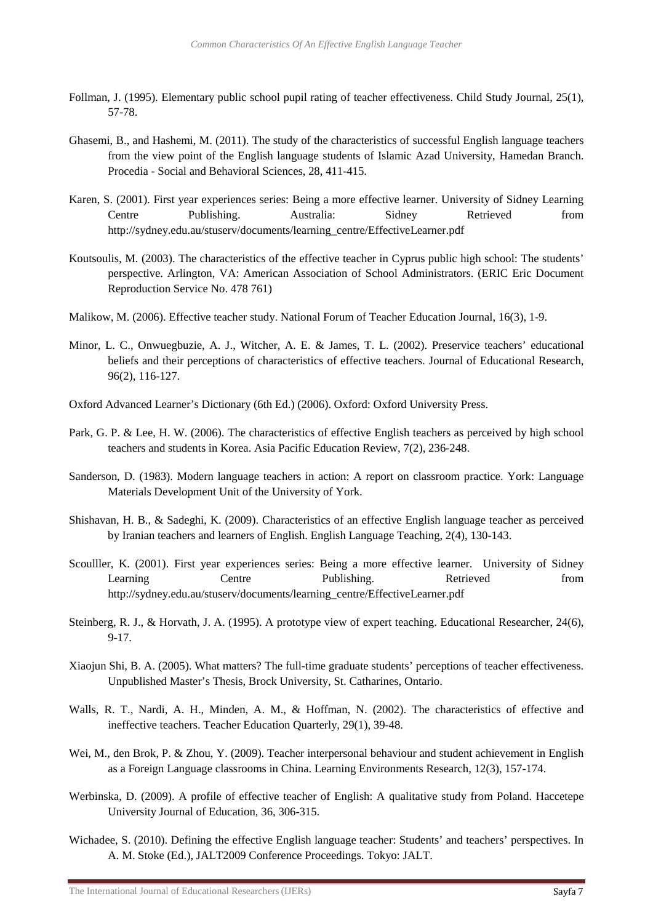- Follman, J. (1995). Elementary public school pupil rating of teacher effectiveness. Child Study Journal, 25(1), 57-78.
- Ghasemi, B., and Hashemi, M. (2011). The study of the characteristics of successful English language teachers from the view point of the English language students of Islamic Azad University, Hamedan Branch. Procedia - Social and Behavioral Sciences, 28, 411-415.
- Karen, S. (2001). First year experiences series: Being a more effective learner. University of Sidney Learning Centre Publishing. Australia: Sidney Retrieved from http://sydney.edu.au/stuserv/documents/learning\_centre/EffectiveLearner.pdf
- Koutsoulis, M. (2003). The characteristics of the effective teacher in Cyprus public high school: The students' perspective. Arlington, VA: American Association of School Administrators. (ERIC Eric Document Reproduction Service No. 478 761)
- Malikow, M. (2006). Effective teacher study. National Forum of Teacher Education Journal, 16(3), 1-9.
- Minor, L. C., Onwuegbuzie, A. J., Witcher, A. E. & James, T. L. (2002). Preservice teachers' educational beliefs and their perceptions of characteristics of effective teachers. Journal of Educational Research, 96(2), 116-127.
- Oxford Advanced Learner's Dictionary (6th Ed.) (2006). Oxford: Oxford University Press.
- Park, G. P. & Lee, H. W. (2006). The characteristics of effective English teachers as perceived by high school teachers and students in Korea. Asia Pacific Education Review, 7(2), 236-248.
- Sanderson, D. (1983). Modern language teachers in action: A report on classroom practice. York: Language Materials Development Unit of the University of York.
- Shishavan, H. B., & Sadeghi, K. (2009). Characteristics of an effective English language teacher as perceived by Iranian teachers and learners of English. English Language Teaching, 2(4), 130-143.
- Scoulller, K. (2001). First year experiences series: Being a more effective learner. University of Sidney Learning Centre Publishing. Retrieved from http://sydney.edu.au/stuserv/documents/learning\_centre/EffectiveLearner.pdf
- Steinberg, R. J., & Horvath, J. A. (1995). A prototype view of expert teaching. Educational Researcher, 24(6), 9-17.
- Xiaojun Shi, B. A. (2005). What matters? The full-time graduate students' perceptions of teacher effectiveness. Unpublished Master's Thesis, Brock University, St. Catharines, Ontario.
- Walls, R. T., Nardi, A. H., Minden, A. M., & Hoffman, N. (2002). The characteristics of effective and ineffective teachers. Teacher Education Quarterly, 29(1), 39-48.
- Wei, M., den Brok, P. & Zhou, Y. (2009). Teacher interpersonal behaviour and student achievement in English as a Foreign Language classrooms in China. Learning Environments Research, 12(3), 157-174.
- Werbinska, D. (2009). A profile of effective teacher of English: A qualitative study from Poland. Haccetepe University Journal of Education, 36, 306-315.
- Wichadee, S. (2010). Defining the effective English language teacher: Students' and teachers' perspectives. In A. M. Stoke (Ed.), JALT2009 Conference Proceedings. Tokyo: JALT.